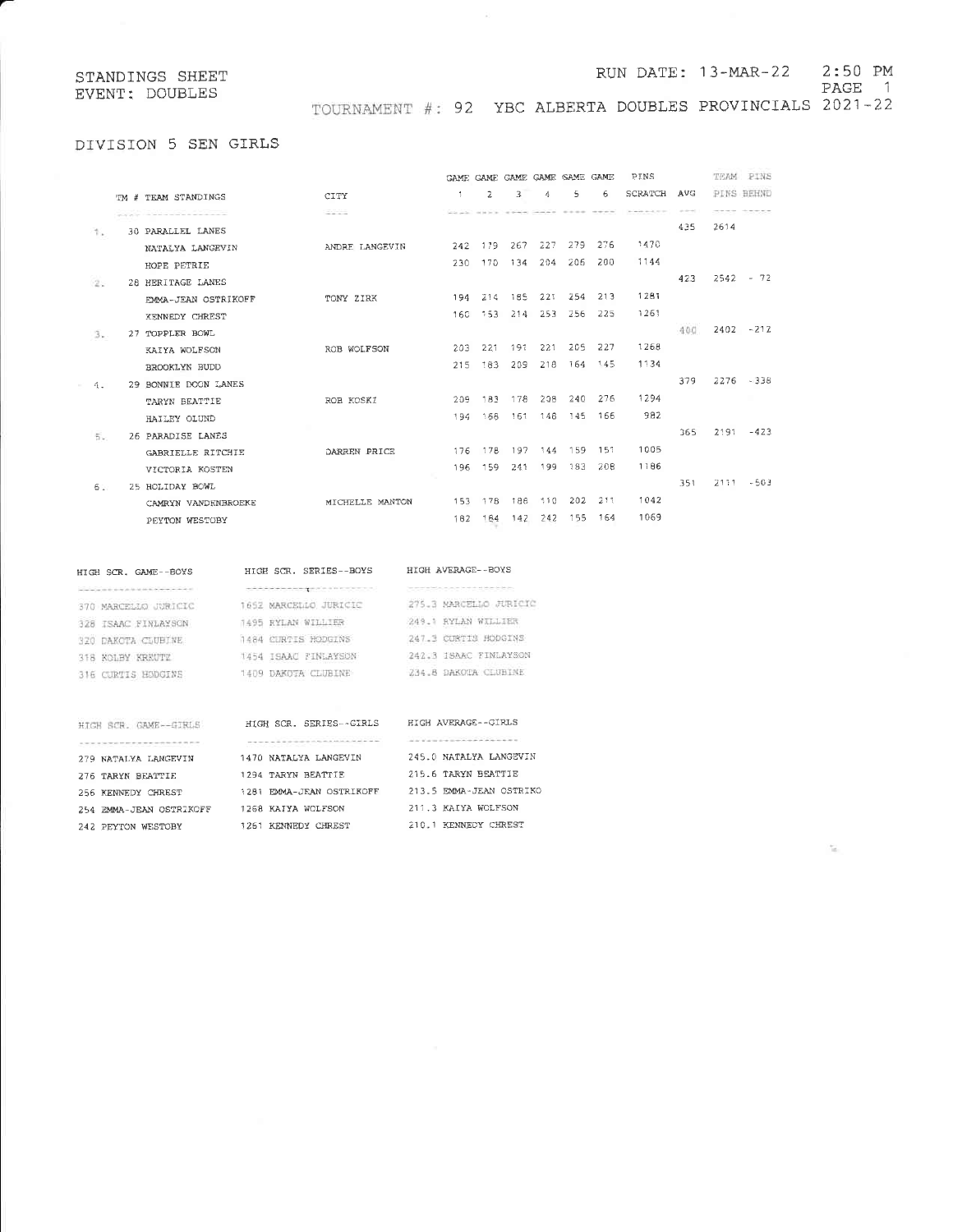### RUN DATE: 13-MAR-22 2:50 PM

PAGE 1

TOURNAMENT #: 92 YBC ALBERTA DOUBLES PROVINCIALS 2021-22

# DIVISION 5 SEN GIRLS

|       |                          |                 |     |         |     | GAME GAME GAME GAME SAME GAME |             |         | PINS                                                                                                                                                                                              |             |      | TEAM PINS    |
|-------|--------------------------|-----------------|-----|---------|-----|-------------------------------|-------------|---------|---------------------------------------------------------------------------------------------------------------------------------------------------------------------------------------------------|-------------|------|--------------|
|       | TM # TEAM STANDINGS      | CITY            | -1. | -2.     | 3   | 4                             | 5.          | 6       | SCRATCH                                                                                                                                                                                           | AVG         |      | PINS BEHND   |
|       |                          | $-200$          |     |         |     | Contractor of the             | $- - - - -$ |         | $\label{eq:1.1} \begin{split} \mathcal{H}^{1} & = \mathcal{H}^{1} \oplus \mathcal{H}^{2} \oplus \mathcal{H}^{3} \oplus \mathcal{H}^{4} \oplus \mathcal{H}^{5} \oplus \mathcal{H}^{6} \end{split}$ | an announce |      |              |
| 11.   | <b>30 PARALLEL LANES</b> |                 |     |         |     |                               |             |         |                                                                                                                                                                                                   | 435         | 2614 |              |
|       | NATALYA LANGEVIN         | ANDRE LANGEVIN  | 242 | 179     | 267 |                               | 227 279 276 |         | 1470                                                                                                                                                                                              |             |      |              |
|       | HOPE PETRIE              |                 | 230 | 170     |     | 134 204 206                   |             | 200     | 1144                                                                                                                                                                                              |             |      |              |
| (2.5) | 28 HERITAGE LANES        |                 |     |         |     |                               |             |         |                                                                                                                                                                                                   | 423         |      | $2542 - 72$  |
|       | EMMA-JEAN OSTRIKOFF      | TONY ZIRK       |     | 194 214 |     | 185 221                       |             | 254 213 | 1281                                                                                                                                                                                              |             |      |              |
|       | <b>XENNEDY CHREST</b>    |                 | 160 | 153     | 214 | 253                           | 256         | 225     | 1261                                                                                                                                                                                              |             |      |              |
| 3.    | 27 TOPPLER BOWL          |                 |     |         |     |                               |             |         |                                                                                                                                                                                                   | 400         |      | $2402 - 212$ |
|       | KAIYA WOLFSON            | ROB WOLFSON     | 203 | 221     | 191 | 221                           | 205         | 227     | 1268                                                                                                                                                                                              |             |      |              |
|       | BROOKLYN BUDD            |                 | 215 | -183    | 209 | 218                           | 164         | 145     | 1134                                                                                                                                                                                              |             |      |              |
| 4.    | 29 BONNIE DOON LANES     |                 |     |         |     |                               |             |         |                                                                                                                                                                                                   | 379         |      | $2276 - 338$ |
|       | TARYN BEATTIE            | ROB KOSKI       | 209 | 183     |     | 178 208                       | 240         | 276     | 1294                                                                                                                                                                                              |             |      |              |
|       | HAILEY OLUND             |                 | 194 | 158     | 161 | 148                           | - 145       | -166    | 982                                                                                                                                                                                               |             |      |              |
| 5.    | 26 PARADISE LANES        |                 |     |         |     |                               |             |         |                                                                                                                                                                                                   | 365         |      | $2191 - 423$ |
|       | GABRIELLE RITCHIE        | DARREN PRICE    | 176 | 17B     |     | 197 144 159 151               |             |         | 1005                                                                                                                                                                                              |             |      |              |
|       | VICTORIA KOSTEN          |                 |     | 196 159 |     | 241 199 183                   |             | 208     | 1186                                                                                                                                                                                              |             |      |              |
| 6.1   | 25 HOLIDAY BOWL          |                 |     |         |     |                               |             |         |                                                                                                                                                                                                   | 351         |      | $2111 - 503$ |
|       | CAMRYN VANDENBROEKE      | MICHELLE MANTON |     |         |     | 153 178 188 110 202 211       |             |         | 1042                                                                                                                                                                                              |             |      |              |
|       | PEYTON WESTOBY           |                 | 182 | 184     | 142 | 242                           | - 155       | - 164   | 1069                                                                                                                                                                                              |             |      |              |
|       |                          |                 |     |         |     |                               |             |         |                                                                                                                                                                                                   |             |      |              |

# HIGH SCR, GAME--BOYS  $\label{eq:3.1} \begin{split} \mathcal{L}(\mathcal{L}(\mathcal{L},\mathcal{L},\mathcal{L},\mathcal{L},\mathcal{L},\mathcal{L},\mathcal{L},\mathcal{L},\mathcal{L},\mathcal{L},\mathcal{L},\mathcal{L},\mathcal{L},\mathcal{L},\mathcal{L},\mathcal{L},\mathcal{L},\mathcal{L},\mathcal{L},\mathcal{L},\mathcal{L})\\ = & \sum_{i=1}^{n} \mathcal{L}(\mathcal{L}(\mathcal{L},\mathcal{L},\mathcal{L},\mathcal{L},\mathcal{L},\mathcal{L},\mathcal{L},\$

328 ISAAC FINLAYSON

320 DAKOTA CLUBINE

316 CURTIS HODGINS

318 KOLBY KREUTZ

# HIGH SCR. SERIES--BOYS HIGH AVERAGE--BOYS  $\label{eq:2.1} \phi_1(\phi_1,\phi_2,\phi_3,\phi_4) = \phi_1(\phi_1,\phi_2,\phi_3) = \frac{1}{2} \phi_1(\phi_1,\phi_2,\phi_3) = \phi_1(\phi_1,\phi_2,\phi_3,\phi_4) = 0 \ ,$ 1652 MARCELLO JURICIO 370 MARCELLO JURICIO 1495 RYLAN WILLIER 1484 CURTIS HODGINS 1454 ISAAC FINLAYSON 1409 DAKOTA CLUBINE

# -------------------275.3 MARCELLO JURICIO 249.1 RYLAN WILLIER 247.3 CURTIS HODGINS 242.3 ISAAC FINLAYSON

| HIGH SCR. GAME -- GIRLS | HIGH SCR. SERIES--GIRLS               | Ħ.          |
|-------------------------|---------------------------------------|-------------|
|                         | an bagain a shekarar ta shekarar 1992 | 2.1%        |
| 279 NATALYA LANGEVIN    | 1470 NATALYA LANGEVIN                 | 24          |
| 276 TARYN BEATTIE       | 1294 TARYN BEATTIE                    | $2^{\circ}$ |
| 256 KENNEDY CHREST      | 1281 EMMA-JEAN OSTRIKOFF              | $2^{\circ}$ |
| 254 EMMA-JEAN OSTRIKOFF | 1268 KAIYA WOLFSON                    | 2.          |
| 242 PEYTON WESTOBY      | 1261 KENNEDY CHREST                   | 21          |

# IIGH AVERAGE--GIRLS . . . . . . . . . . . . . . . . . 245.0 NATALYA LANGEVIN 15.6 TARYN BEATTIE 213.5 EMMA-JEAN OSTRIKO

234.8 DAKOTA CLUBINE

211.3 KAIYA WOLFSON 210,1 KENNEDY CHREST

# $\overline{\omega}$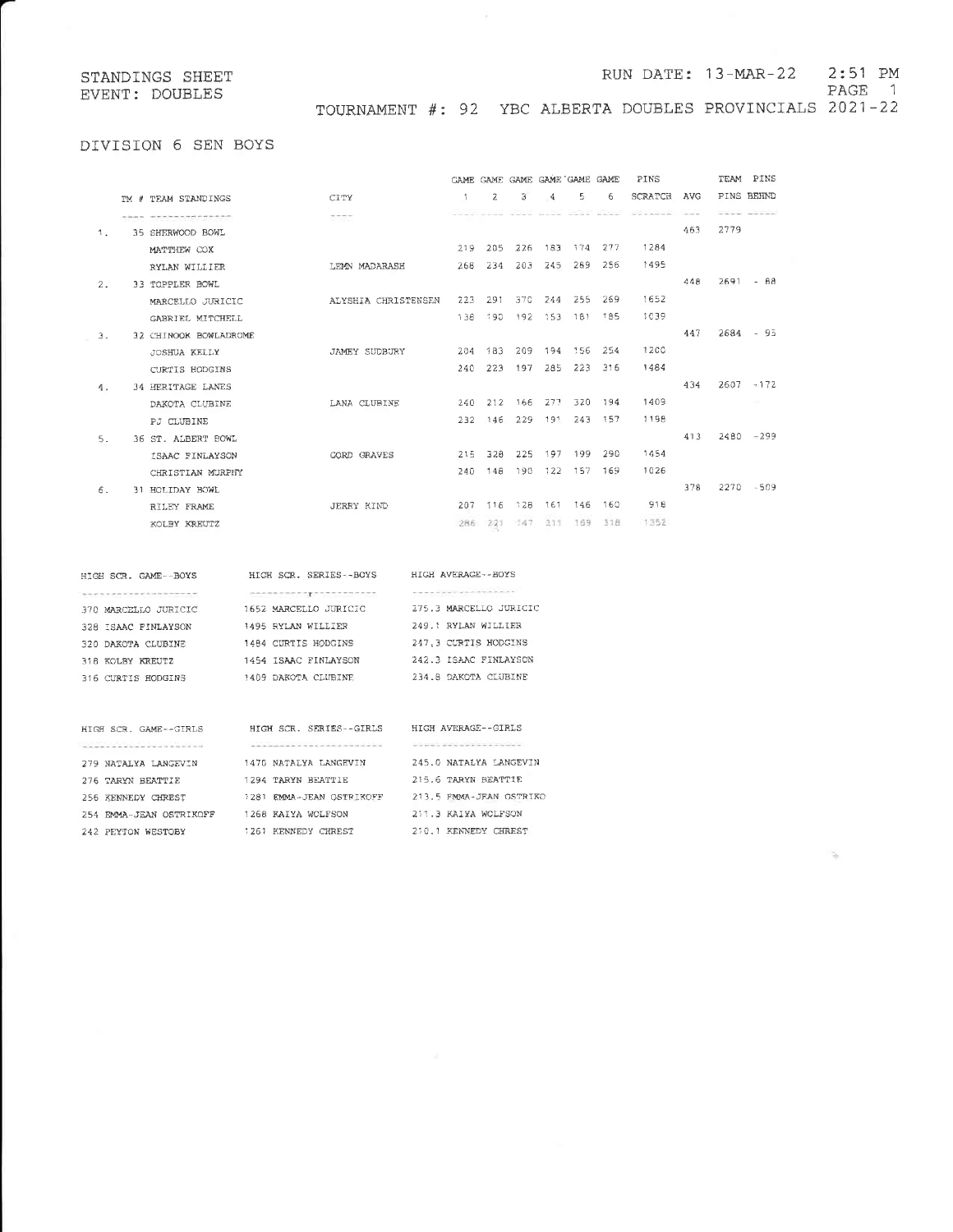### RUN DATE: 13-MAR-22  $2:51$  PM

PAGE 1

 $\tilde{\gamma}_0$ 

TOURNAMENT #: 92 YBC ALBERTA DOUBLES PROVINCIALS 2021-22

# DIVISION 6 SEN BOYS

|    |                          |                      |                |         |      |               | GAME CAME GAME GAME GAME GAME |         | PINS    |               |      | TEAM PINS           |
|----|--------------------------|----------------------|----------------|---------|------|---------------|-------------------------------|---------|---------|---------------|------|---------------------|
|    | TM # TEAM STANDINGS      | CITY                 | $\overline{1}$ | 2       | 3    | $\frac{4}{3}$ | 5                             | 6       | SCRATCH | <b>AVG</b>    |      | PINS BEHND          |
|    | -------------------      | 1555                 |                |         |      |               | away House conta bloom        |         |         | and and state |      | -----               |
| 1. | 35 SHERWOOD BOWL         |                      |                |         |      |               |                               |         |         | 463           | 2779 |                     |
|    | MATTHEW COX              |                      | 219            | 205     | 226  |               | 183 174 277                   |         | 1284    |               |      |                     |
|    | RYLAN WILLIER            | LEMN MADARASH        | 268            | 234     | 203  | 245           |                               | 289 256 | 1495    |               |      |                     |
| 2. | 33 TOPPLER BOWL          |                      |                |         |      |               |                               |         |         | 448           |      | $2691 - 68$         |
|    | MARCELLO JURICIO         | ALYSHIA CHRISTENSEN  | 223            | 291     | 370  |               | 244 255 269                   |         | 1652    |               |      |                     |
|    | GABRIEL MITCHELL         |                      | 138            | -190    |      |               | 192 153 181 185               |         | 1039    |               |      |                     |
| з. | 32 CHINOOK BOWLADROME    |                      |                |         |      |               |                               |         |         | 447           |      | $2684 - 95$         |
|    | <b>JOSHUA KELLY</b>      | <b>JAMEY SUDBURY</b> | 204            | 183     | 209  |               | 194 156 254                   |         | 1200    |               |      |                     |
|    | CURTIS HODGINS           |                      | 240            | 223     | 197  | 285           | 223                           | 316     | 1484    |               |      |                     |
| 4. | <b>34 HERITAGE LANES</b> |                      |                |         |      |               |                               |         |         | 434           |      | $2607 - 172$        |
|    | DAKOTA CLUBINE           | LANA CLUBINE         |                | 240 212 | 166  | -277          | 320                           | 194     | 1409    |               |      | <b>The Contract</b> |
|    | PJ CLUBINE               |                      | 232            | 146     | 229  | 191           | 243                           | - 157   | 1198    |               |      |                     |
| 5. | 36 ST. ALBERT BOWL       |                      |                |         |      |               |                               |         |         | 413           |      | $2480 - 299$        |
|    | ISAAC FINLAYSON          | <b>CORD GRAVES</b>   | 215            | 328     | 225  | 197           | 199                           | 290     | 1454    |               |      |                     |
|    | CHRISTIAN MURPHY         |                      | 240            | 148     | 190  |               | 122 157 169                   |         | 1026    |               |      |                     |
| 6. | 31 HOLIDAY BOWL          |                      |                |         |      |               |                               |         |         | 378           |      | $2270 - 509$        |
|    | RILEY FRAME              | <b>JERRY KIND</b>    |                | 207 116 |      | 128 161       | 146                           | 160     | 918     |               |      |                     |
|    | KOLBY KREUTZ             |                      |                | 286 221 | -147 | 215           | 169                           | 318     | 1352    |               |      |                     |
|    |                          |                      |                |         |      |               |                               |         |         |               |      |                     |

| HIGH SCR. GAME -- BOYS                                                        | HIGH SCR. SERIES -- BOYS | HIGH AVERAGE--BOYS                                                                      |
|-------------------------------------------------------------------------------|--------------------------|-----------------------------------------------------------------------------------------|
| and the third and an analysis of the control of the control of the control of |                          | the state of the control of the control of the control of the control of the control of |
| 370 MARCELLO JURICIC                                                          | 1652 MARCELLO JURICIC    | 275.3 MARCELLO JURICIO                                                                  |
| 328 ISAAC FINLAYSON                                                           | 1495 RYLAN WILLIER       | 249.1 RYLAN WILLIER                                                                     |
| 320 DAKOTA CLUBINE                                                            | 1484 CURTIS HODGINS      | 247.3 CURTIS HODGINS                                                                    |
| 318 KOLBY KREUTZ                                                              | 1454 ISAAC FINLAYSON     | 242.3 ISAAC FINLAYSON                                                                   |
| 316 CURTIS HODGINS                                                            | 1409 DAKOTA CLUBINE      | 234.8 DAKOTA CLUBINE                                                                    |
|                                                                               |                          |                                                                                         |

| HIGH SCR. GAME--GIRLS   | HIGH SCR. SERIES--GIRLS                  | HIGH AVERAGE--GIRLS                                                                                                                                                                                                            |
|-------------------------|------------------------------------------|--------------------------------------------------------------------------------------------------------------------------------------------------------------------------------------------------------------------------------|
|                         | 오늘 아이는 그는 아이를 보면 사람들이 아니라 사람들이 잘 보내고 있다. | and the company of the company of the company of the company of the company of the company of the company of the company of the company of the company of the company of the company of the company of the company of the comp |
| 279 NATALYA LANGEVIN    | 1470 NATALYA LANGEVIN                    | 245.0 NATALYA LANGEVIN                                                                                                                                                                                                         |
| 276 TARYN BEATTIE       | 1294 TARYN BEATTIE                       | 215.6 TARYN BEATTIE                                                                                                                                                                                                            |
| 256 KENNEDY CHREST      | EMMA-JEAN OSTRIKOFF<br>1281              | 213.5 EMMA-JEAN OSTRIKO                                                                                                                                                                                                        |
| 254 EMMA-JEAN OSTRIKOFF | 1268 KAIYA WOLFSON                       | 211.3 KAIYA WOLFSON                                                                                                                                                                                                            |
| 242 PEYTON WESTOBY      | KENNEDY<br>CHREST<br>1261                | KENNFDY<br>CHREST<br>210.1                                                                                                                                                                                                     |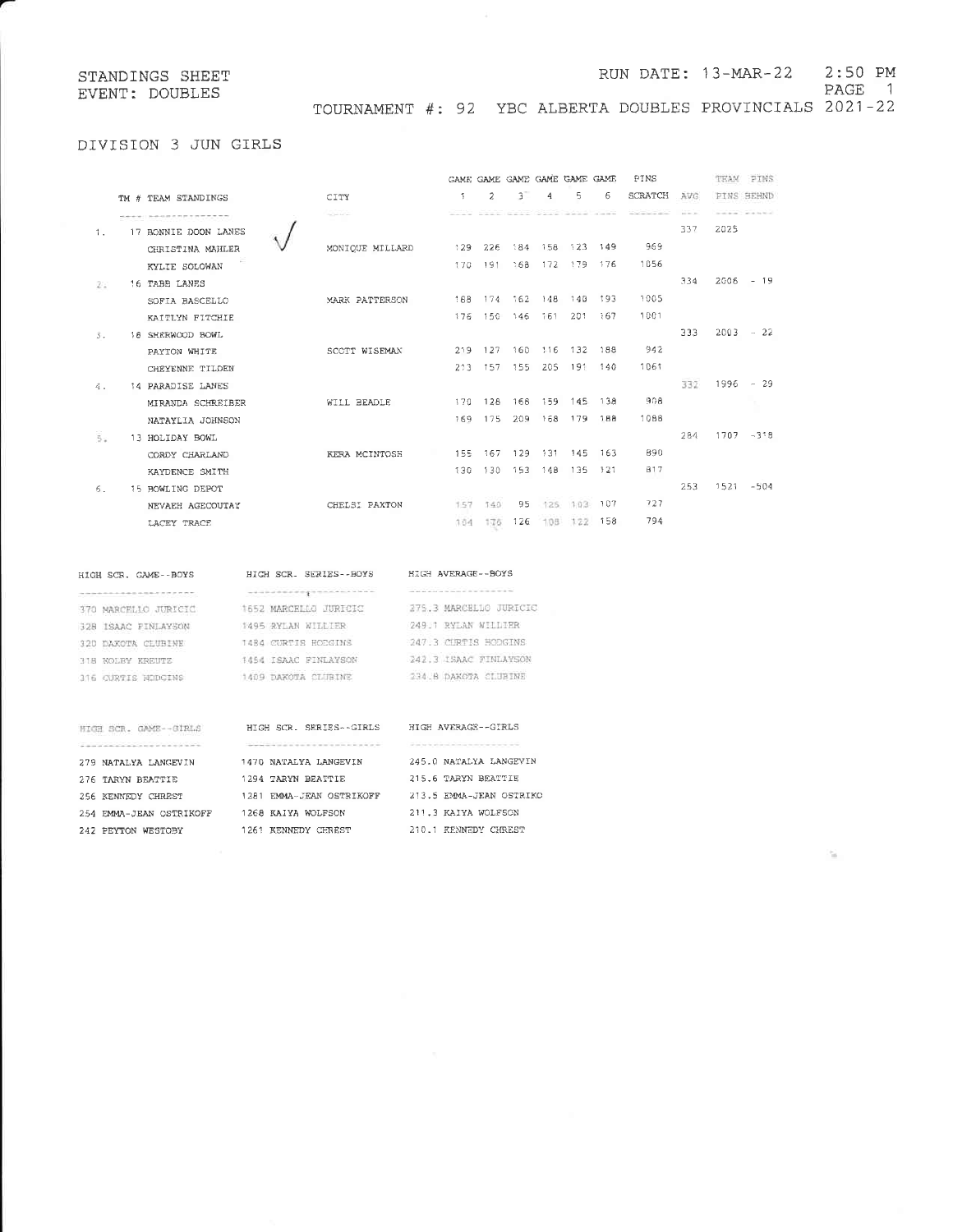### RUN DATE: 13-MAR-22 2:50 PM

PAGE 1

TOURNAMENT #: 92 YBC ALBERTA DOUBLES PROVINCIALS 2021-22

# DIVISION 3 JUN GIRLS

|                  |                          |                   |     |         |             |         | GAME GAME GAME GAME GAME GAME        |         | PINS                               |               | TEAM | PINS                   |
|------------------|--------------------------|-------------------|-----|---------|-------------|---------|--------------------------------------|---------|------------------------------------|---------------|------|------------------------|
|                  | TM # TEAM STANDINGS      | CITY              | -1. | 2       | 3           | 4       | 5                                    | 6       | <b>SCRATCH</b>                     | AVG           |      | PINS SEHND             |
|                  |                          | <b>Saltan Art</b> |     |         |             |         | and and an an original contracts the |         | the part of the control of the co- | and the Corp. |      | The state for the last |
| $\mathbf{1}$ .   | 17 BONNIE DOON LANES     |                   |     |         |             |         |                                      |         |                                    | 337           | 2025 |                        |
|                  | CHRISTINA MAHLER         | MONIQUE MILLARD   |     | 129 226 | 384         |         | 156 123 149                          |         | 969                                |               |      |                        |
|                  | KYLIE SOLOWAN            |                   |     | 170 191 | 368         |         | 172 179 176                          |         | 1056                               |               |      |                        |
| 20               | 16 TABB LANES            |                   |     |         |             |         |                                      |         |                                    | 334           |      | $2006 - 19$            |
|                  | SOFIA BASCELLO           | MARK PATTERSON    | 188 |         | 174 162 148 |         |                                      | 148 193 | 1005                               |               |      |                        |
|                  | KAITLYN FITCHIE          |                   | 176 | - 150   |             |         | 146 161 201                          | - 167   | 1001                               |               |      |                        |
| $\overline{3}$ . | 18 SHERWOOD BOWL         |                   |     |         |             |         |                                      |         |                                    | 333           |      | $2003 - 22$            |
|                  | PAYTON WHITE             | SCOTT WISEMAN     |     | 219 127 |             |         | 160 116 132 188                      |         | 942                                |               |      |                        |
|                  | CHEYENNE TILDEN          |                   |     | 213 157 | 155         | 205     |                                      | 191 140 | 1061                               |               |      |                        |
| 4.               | <b>14 PARADISE LANES</b> |                   |     |         |             |         |                                      |         |                                    | 332           |      | $1996 - 29$            |
|                  | MIRANDA SCHREIBER        | WILL BEADLE       | 170 | 128     | 168         |         | 159 145 138                          |         | 908                                |               |      |                        |
|                  | NATAYLIA JOHNSON         |                   | 169 | - 175   | 209         |         | 168 179                              | - 188   | 1088                               |               |      |                        |
| 55               | 13 HOLIDAY BOWL          |                   |     |         |             |         |                                      |         |                                    | 284           |      | $1707 - 318$           |
|                  | CORDY CHARLAND           | KERA MCINTOSH     | 155 | - 167   | 129         | -131    | 145                                  | 163     | 890                                |               |      |                        |
|                  | KAYDENCE SMITH           |                   | 130 | 130     |             |         | 153 148 135 121                      |         | 817                                |               |      |                        |
| 6.               | 15 BOWLING DEPOT         |                   |     |         |             |         |                                      |         |                                    | 253           |      | $1521 - 504$           |
|                  | NEVAEH AGECOUTAY         | CHELSI PAXTON     | 157 | 140     | 95          | $125 -$ |                                      | 103 107 | 727                                |               |      |                        |
|                  | LACEY TRACE              |                   | 164 | 176     | 126         | 108     | 122                                  | 158     | 794                                |               |      |                        |
|                  |                          |                   |     |         |             |         |                                      |         |                                    |               |      |                        |

# HIGH SCR. GAME--BOYS

...................

279 NATALYA LANGEVIN

276 TARYN BEATTIE

242 PEYTON WESTOBY

HIGH SCR. SERIES--BOYS HIGH AVERAGE--BOYS *Contractor commencement* --------------------370 NARCELLO JURICIO 1652 MARCELLO JURICIO 275.3 MARCELLO JURICIO 328 ISAAC FINLAYSON 1495 RYLAN WILLIER 249.1 RYLAN WILLIER 320 DAKOTA CLUBINE 1484 CURTIS HODGINS 247.3 CURTIS HODGINS 1454 ISAAC FINLAYSON 318 NOLBY KREUTZ 242.3 ISAAC FINLAYSON 234.8 DAKOTA CLUBINE 1409 DAKOTA CLUBINE 316 CURTIS HODGINS

# HIGH SCR. GAME--GIRLS HIGH SCR. SERIES--GIRLS HIGH AVERAGE--GIRLS  $\frac{1}{2}$  and  $\frac{1}{2}$  are the set of  $\mathcal{M}$  and  $\mathcal{M}$ 1470 NATA 1294 TARY 254 HEATH DEPARTMENT 1281 EMMA 254 EMMA-JEAN OSTRIKOFF 1268 KAIY 1261 KENN

| ALYA LANGEVIN    | 245.0 NATALYA LANGEVIN  |
|------------------|-------------------------|
| YN BEATTIE       | 215.6 TARYN BEATTIE     |
| A-JEAN OSTRIKOFF | 213.5 EMMA-JEAN OSTRIKO |
| YA WOLFSON       | 211.3 KAIYA WOLFSON     |
| NEDY CHREST      | 210.1 KENNEDY CHREST    |
|                  |                         |

 $\mathcal{C}_{\text{eff}}$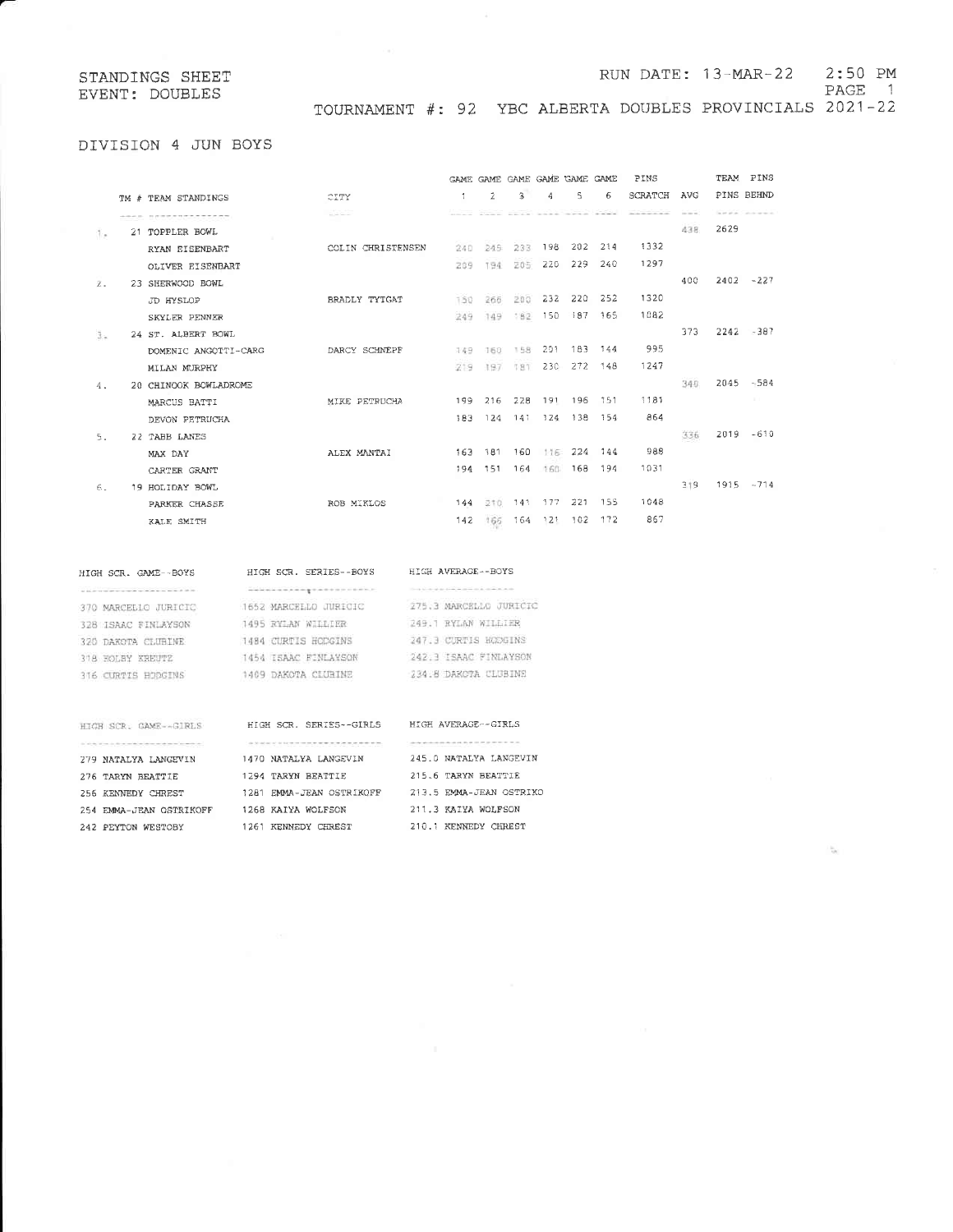### RUN DATE: 13-MAR-22 2:50 PM

PAGE 1

 $\frac{1}{2}$ 

TOURNAMENT #: 92 YBC ALBERTA DOUBLES PROVINCIALS 2021-22

# DIVISION 4 JUN BOYS

|             |                       |                      |                   | <b>GAME GAME</b> |     |        | GAME GAME GAME GAME |         | PINS                       |              |      | TEAM PINS     |
|-------------|-----------------------|----------------------|-------------------|------------------|-----|--------|---------------------|---------|----------------------------|--------------|------|---------------|
|             | TM # TEAM STANDINGS   | CITY                 | 1                 | 2                | 3   | 4      | 5                   | 6       | <b>SCRATCH</b>             | AVG          |      | PINS BEHND    |
|             |                       | sales lanes          | and the state and |                  |     |        | pose president      |         | the site discussion of the | the time was |      | and a war and |
| die.        | 21 TOPPLER BOWL       |                      |                   |                  |     |        |                     |         |                            | 438          | 2629 |               |
|             | RYAN EISENBART        | COLIN CHRISTENSEN    | 240.              | 245              | 233 | 198    |                     | 202 214 | 1332                       |              |      |               |
|             | OLIVER EISENBART      |                      | 209               | 194              | 205 | 220    | 229                 | 240     | 1297                       |              |      |               |
| $\bar{z}$ . | 23 SHERWOOD BOWL      |                      |                   |                  |     |        |                     |         |                            | 400          |      | $2402 - 227$  |
|             | JD HYSLOP             | <b>BRADLY TYTGAT</b> | 150               | 266              | 200 | 232    | 220                 | - 252   | 1320                       |              |      |               |
|             | SKYLER PENNER         |                      | 249               | 149              | 182 | 150    |                     | 187 165 | 1082                       |              |      |               |
| B.          | 24 ST. ALBERT BOWL    |                      |                   |                  |     |        |                     |         |                            | 373          |      | $2242 - 387$  |
|             | DOMENIC ANGOTTI-CARG  | DARCY SCHNEPF        | 149               | 160              | 158 | 201    |                     | 183 144 | 995                        |              |      |               |
|             | MILAN MURPHY          |                      | 219               | 197              | 181 | 230    | 272                 | 148     | 1247                       |              |      |               |
| 4.          | 20 CHINOOK BOWLADROME |                      |                   |                  |     |        |                     |         |                            | 340          |      | $2045 - 584$  |
|             | MARCUS BATTI          | MIKE PETRUCHA        |                   | 199 216          | 228 |        | 191 196             | 151     | 1181                       |              |      |               |
|             | DEVON PETRUCHA        |                      | 183.              | -124             | 141 | 124    | - 138               | 154     | 864                        |              |      |               |
| 5.          | 22 TABB LANES         |                      |                   |                  |     |        |                     |         |                            | 336          |      | $2019 - 610$  |
|             | MAX DAY               | ALEX MANTAI          | 163               | - 181            | 160 | 116    |                     | 224 144 | 988                        |              |      |               |
|             | CARTER GRANT          |                      |                   | 194 151          | 164 | 1.60   | 168                 | 194     | 1031                       |              |      |               |
| 6.          | 19 HOLIDAY BOWL       |                      |                   |                  |     |        |                     |         |                            | 319          |      | $1915 - 714$  |
|             | PARKER CHASSE         | ROB MIKLOS           | 144               | 210              | 141 | - 1.77 |                     | 221 155 | 1048                       |              |      |               |
|             | KALE SMITH            |                      | 142               | 166              | 164 | 121    | - 102               | - 172   | 867                        |              |      |               |
|             |                       |                      |                   |                  |     |        |                     |         |                            |              |      |               |

## HIGH SCR. GAME--BOYS

279 NATALYA LANGEVIN

256 KENNEDY CHREST

276 TARYN BEATTIE

242 PEYTON WESTOBY

# HIGH SCR. SERIES--BOYS

# HIGH AVERAGE--BOYS

|                      | --------------------- |                        |
|----------------------|-----------------------|------------------------|
| 370 MARCELLO JURICIO | 1652 MARCELLO JURICIO | 275.3 MARCELLO JURICIO |
| 328 ISAAC FINLAYSON  | 1495 RYLAN WILLIER    | 249.1 RYLAN WILLIER    |
| 320 DAKOTA CLUBINE   | 1484 CURTIS HODGINS   | 247.3 CURTIS HODGINS   |
| 318 KOLBY KREUTZ     | 1454 ISAAC FINLAYSON  | 242.3 ISAAC FINLAYSON  |
| 316 CURTIS HODGINS   | 1409 DAKOTA CLUBINE   | 234.8 DARCTA CLUBINE   |

# HIGH SCR. GAME--GIRLS HIGH SCR. SERIES--GIRLS HIGH AVERAGE--GIRLS 1470 NATALYA LANGEVIN 1294 TARYN BEATTIE 1281 EMMA-JEAN OSTRIKOFF 213.5 EMMA-JEAN OSTRIKO 254 EMMA-JEAN OSTRIKOFF 1268 KAIYA WOLFSON 1261 KENNEDY CHREST

# 245.0 NATALYA LANGEVIN 215.6 TARYN BEATTIE 211.3 KAIYA WOLFSON

210.1 KENNEDY CHREST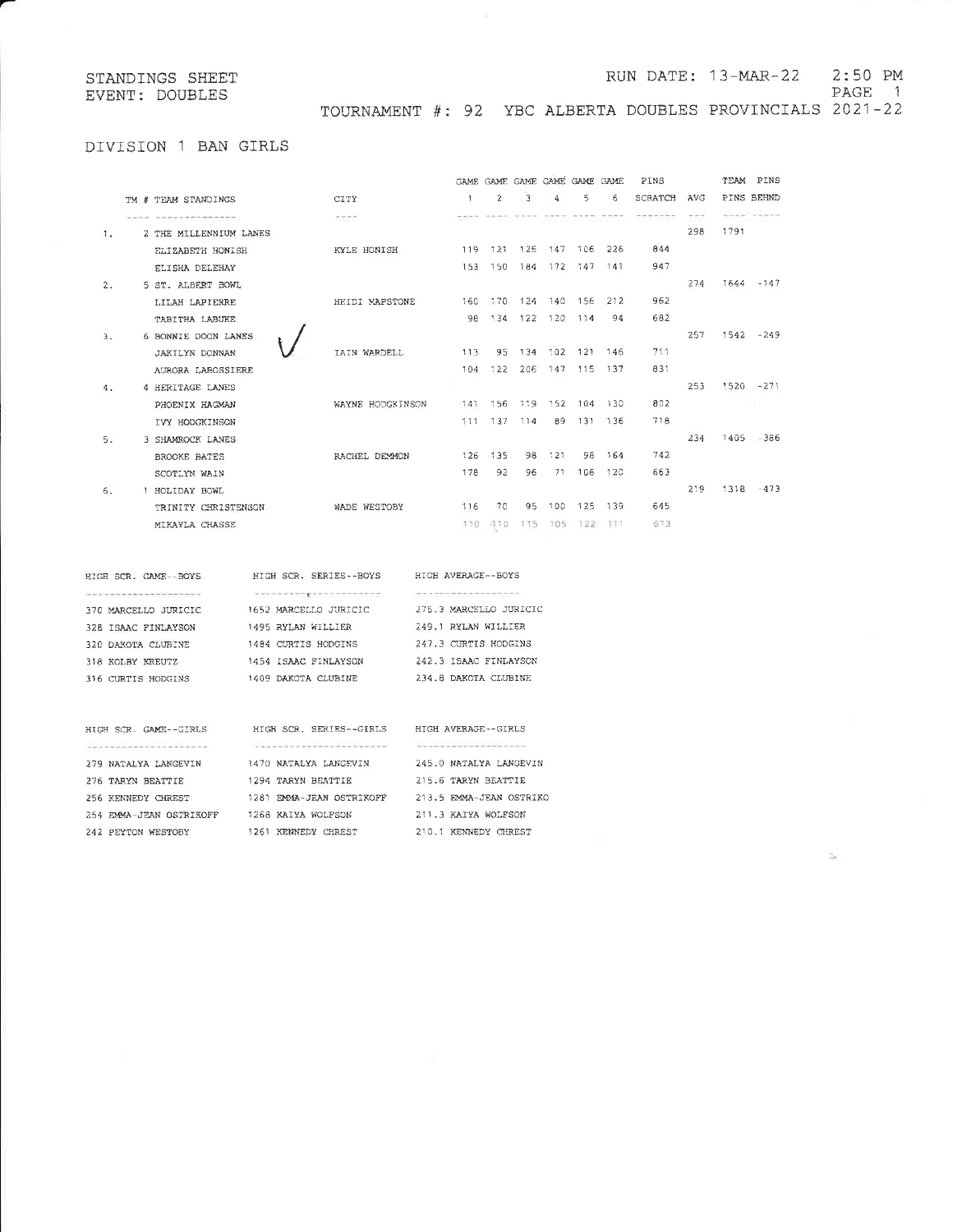# RUN DATE: 13-MAR-22 2:50 PM

PAGE 1

 $\leq$ 

TOURNAMENT #: 92 YBC ALBERTA DOUBLES PROVINCIALS 2021-22

# DIVISION 1 BAN GIRLS

|    |                                 |                            |                | GAME GAME GAME GAME GAME GAME                                                                                                                                                                                                                                                                                                                                                                                                                             |                |         |                 |            | PINS    |            |      | TEAM PINS    |
|----|---------------------------------|----------------------------|----------------|-----------------------------------------------------------------------------------------------------------------------------------------------------------------------------------------------------------------------------------------------------------------------------------------------------------------------------------------------------------------------------------------------------------------------------------------------------------|----------------|---------|-----------------|------------|---------|------------|------|--------------|
|    | TM # TEAM STANDINGS             | CITY                       | $\overline{1}$ | $\overline{2}$                                                                                                                                                                                                                                                                                                                                                                                                                                            | $\overline{3}$ | 4       | s               | 6          | SCRATCH | <b>AVG</b> |      | PINS BEHND   |
|    | 2222 C 2301 C 230 T 240 T 240 T | ALC: NO                    |                | $\label{eq:12} -2\left(1-\left(2\right)-2\right)+\left(2\right)-2\left(1-\left(2\right)-2\right)-2\left(2\right)-2\left(2\right)-2\left(2\right)-2\left(2\right)-2\left(2\right)-2\left(2\right)-2\left(2\right)-2\left(2\right)-2\left(2\right)-2\left(2\right)-2\left(2\right)-2\left(2\right)-2\left(2\right)-2\left(2\right)-2\left(2\right)-2\left(2\right)-2\left(2\right)-2\left(2\right)-2\left(2\right)-2\left(2\right)-2\left(2\right)-2\left($ |                |         |                 |            |         | 355        |      | www. week    |
| 1. | 2 THE MILLENNIUM LANES          |                            |                |                                                                                                                                                                                                                                                                                                                                                                                                                                                           |                |         |                 |            |         | 298        | 1791 |              |
|    | ELIZABETH HONISH                | KYLE HONISH                |                | 119 121                                                                                                                                                                                                                                                                                                                                                                                                                                                   |                |         | 125 147 106 226 |            | 844     |            |      |              |
|    | ELISHA DELEHAY                  |                            | 153            | 150                                                                                                                                                                                                                                                                                                                                                                                                                                                       | 184            |         | 172 147 141     |            | 947     |            |      |              |
| 2. | 5 ST. ALBERT BOWL               |                            |                |                                                                                                                                                                                                                                                                                                                                                                                                                                                           |                |         |                 |            |         | 274        |      | $1644 - 147$ |
|    | LILAH LAPIERRE                  | HEIDI MAPSTONE             |                | 160 170                                                                                                                                                                                                                                                                                                                                                                                                                                                   |                |         | 124 140 156     | 212        | 962     |            |      |              |
|    | TABITHA LABUKE                  |                            | 98             | 134                                                                                                                                                                                                                                                                                                                                                                                                                                                       |                | 122 120 | 114             | 94         | 682     |            |      |              |
| 3. | 6 BONNIE DOON LANES             |                            |                |                                                                                                                                                                                                                                                                                                                                                                                                                                                           |                |         |                 |            |         | 257        |      | $1542 - 249$ |
|    | <b>JAKILYN DONNAN</b>           | <b><i>IAIN WARDELL</i></b> | 113            | 95                                                                                                                                                                                                                                                                                                                                                                                                                                                        | 134            | 102     |                 | 121 146    | 711     |            |      |              |
|    | AURORA LABOSSIERE               |                            | 104            | 722                                                                                                                                                                                                                                                                                                                                                                                                                                                       | 206            |         | 147 115 137     |            | 831     |            |      |              |
| 4. | 4 HERITAGE LANES                |                            |                |                                                                                                                                                                                                                                                                                                                                                                                                                                                           |                |         |                 |            |         | 253        |      | $1520 - 271$ |
|    | PHOENIX HAGMAN                  | WAYNE HODGKINSON           | 141            | 156                                                                                                                                                                                                                                                                                                                                                                                                                                                       |                | 119 152 |                 | 104 130    | 802     |            |      | ma t         |
|    | IVY HODGKINSON                  |                            |                | 111 137                                                                                                                                                                                                                                                                                                                                                                                                                                                   | 114            |         | 89 131 136      |            | 718     |            |      |              |
| 5. | 3 SHAMROCK LANES                |                            |                |                                                                                                                                                                                                                                                                                                                                                                                                                                                           |                |         |                 |            |         | 234        |      | $1405 - 386$ |
|    | <b>BROOKE BATES</b>             | RACHEL DEMMON              | 126            | 135                                                                                                                                                                                                                                                                                                                                                                                                                                                       | 98             | -121    | 98              | 164        | 742     |            |      |              |
|    | SCOTLYN WAIN                    |                            | 178            | 92                                                                                                                                                                                                                                                                                                                                                                                                                                                        | 96             | 71      | 106             | 120        | 663     |            |      |              |
| 6. | 1 HOLIDAY BOWL                  |                            |                |                                                                                                                                                                                                                                                                                                                                                                                                                                                           |                |         |                 |            |         | 219        |      | $1318 - 473$ |
|    | TRINITY CHRISTENSON             | WADE WESTOBY               | 116            | 70                                                                                                                                                                                                                                                                                                                                                                                                                                                        | 95.            | 100     |                 | 125 139    | 645     |            |      |              |
|    | MIKAYLA CHASSE                  |                            | -110           | $-1.1.0$                                                                                                                                                                                                                                                                                                                                                                                                                                                  | 本生産            | 105     |                 | $122$ 3.11 | 673     |            |      |              |
|    |                                 |                            |                |                                                                                                                                                                                                                                                                                                                                                                                                                                                           |                |         |                 |            |         |            |      |              |

| HIGE SCR. GAME -- BOYS                            | HIGH SCR. SERIES--BOYS |
|---------------------------------------------------|------------------------|
| the property of the company's company's company's | .                      |
| 370 MARCELLO JURICIC                              | 1652 MARCELLO JURICIC  |
| 328 ISAAC FINLAYSON                               | 1495 RYLAN WILLIER     |
| 320 DAKOTA CLUBINE                                | 1484 CURTIS HODGINS    |
| 318 KOLBY KREUTZ                                  | 1454 ISAAC FINLAYSON   |
| 316 CURTIS HODGINS                                | 1409 DAKOTA CLUBINE    |
|                                                   |                        |
|                                                   |                        |

275.3 MARCELLO JURICIO 249.1 RYLAN WILLIER 247.3 CURTIS HODGINS 242.3 ISAAC FINLAYSON 234.8 DAKOTA CLUBINE

HIGH AVERAGE -- BOYS ------------------

| HIGH SCR. GAME--GIRLS                                                                  | HIGH SCR. SERIES--GIRLS          | HIGH AVERAGE--GIRLS        |
|----------------------------------------------------------------------------------------|----------------------------------|----------------------------|
| the control and control of the control of the control of the control of the control of |                                  |                            |
| 279 NATALYA LANGEVIN                                                                   | 1470 NATALYA LANGEVIN            | 245.0 NATALYA LANGEVIN     |
| 276 TARYN BEATTIE                                                                      | 1294 TARYN BEATTIE               | 215.6 TARYN BEATTIE        |
| 256 KENNEDY CHREST                                                                     | EMMA-JEAN OSTRIKOFF<br>1281      | 213.5 EMMA-JEAN OSTRIKO    |
| 254 EMMA-JEAN OSTRIKOFF                                                                | 1268 KAIYA WOLFSON               | 211.3 KAIYA WOLFSON        |
| WESTORY<br>242 PEYTON                                                                  | KENNEDY<br><b>CHREST</b><br>1261 | KENNEDY<br>210.1<br>CHREST |